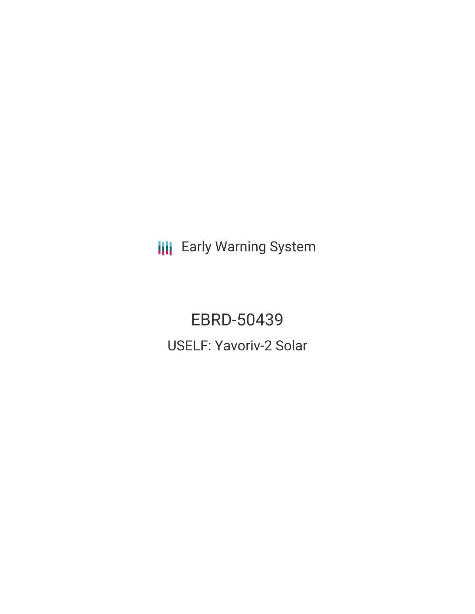**III** Early Warning System

EBRD-50439 USELF: Yavoriv-2 Solar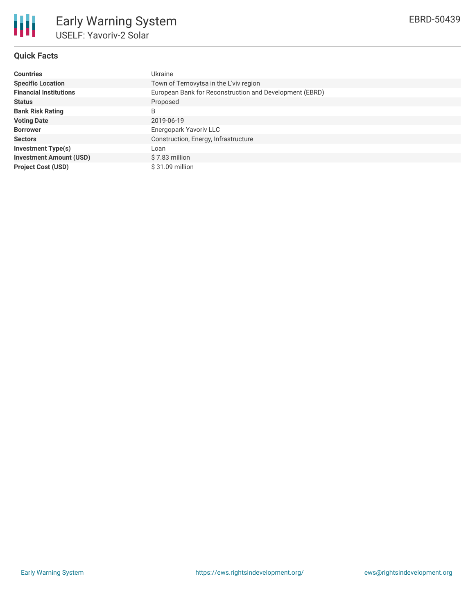

# **Quick Facts**

| <b>Countries</b>               | Ukraine                                                 |  |  |  |  |
|--------------------------------|---------------------------------------------------------|--|--|--|--|
| <b>Specific Location</b>       | Town of Ternovytsa in the L'viv region                  |  |  |  |  |
| <b>Financial Institutions</b>  | European Bank for Reconstruction and Development (EBRD) |  |  |  |  |
| <b>Status</b>                  | Proposed                                                |  |  |  |  |
| <b>Bank Risk Rating</b>        | B                                                       |  |  |  |  |
| <b>Voting Date</b>             | 2019-06-19                                              |  |  |  |  |
| <b>Borrower</b>                | Energopark Yavoriv LLC                                  |  |  |  |  |
| <b>Sectors</b>                 | Construction, Energy, Infrastructure                    |  |  |  |  |
| Investment Type(s)             | Loan                                                    |  |  |  |  |
| <b>Investment Amount (USD)</b> | $$7.83$ million                                         |  |  |  |  |
| <b>Project Cost (USD)</b>      | \$31.09 million                                         |  |  |  |  |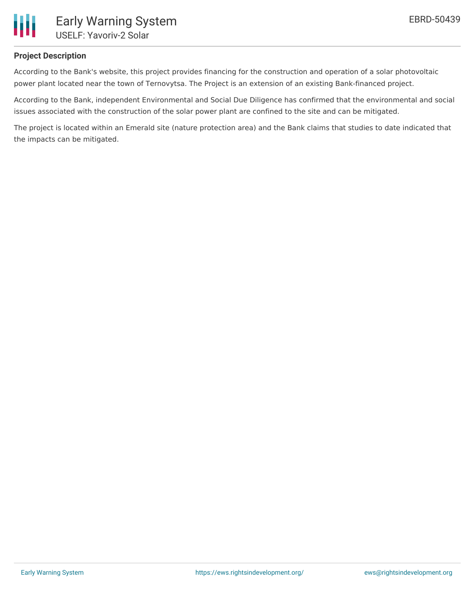

## **Project Description**

According to the Bank's website, this project provides financing for the construction and operation of a solar photovoltaic power plant located near the town of Ternovytsa. The Project is an extension of an existing Bank-financed project.

According to the Bank, independent Environmental and Social Due Diligence has confirmed that the environmental and social issues associated with the construction of the solar power plant are confined to the site and can be mitigated.

The project is located within an Emerald site (nature protection area) and the Bank claims that studies to date indicated that the impacts can be mitigated.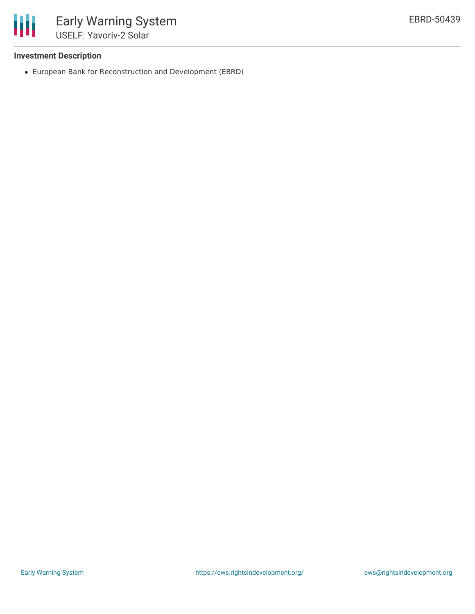

### **Investment Description**

European Bank for Reconstruction and Development (EBRD)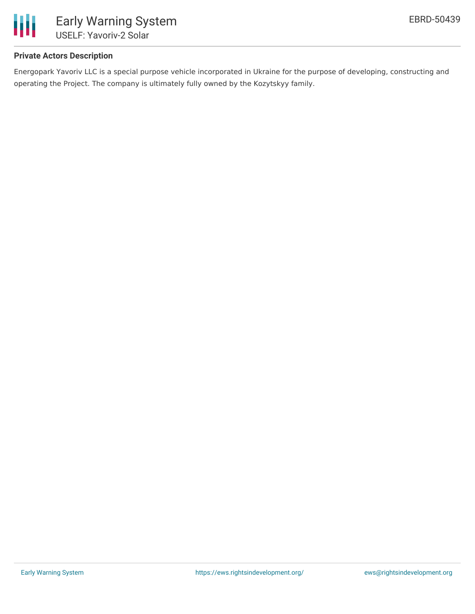

# **Private Actors Description**

Energopark Yavoriv LLC is a special purpose vehicle incorporated in Ukraine for the purpose of developing, constructing and operating the Project. The company is ultimately fully owned by the Kozytskyy family.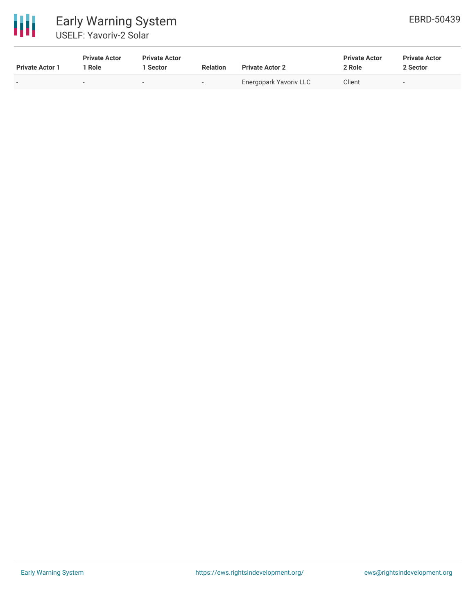

# Early Warning System USELF: Yavoriv-2 Solar

| <b>Private Actor 1</b> | <b>Private Actor</b><br>Role | <b>Private Actor</b><br>l Sector | <b>Relation</b>          | <b>Private Actor 2</b> | <b>Private Actor</b><br>2 Role | <b>Private Actor</b><br>2 Sector |
|------------------------|------------------------------|----------------------------------|--------------------------|------------------------|--------------------------------|----------------------------------|
|                        |                              |                                  | $\overline{\phantom{a}}$ | Energopark Yavoriv LLC | Client                         |                                  |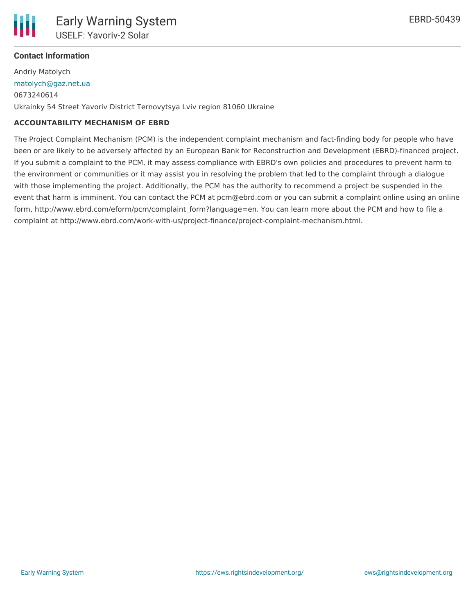# **Contact Information**

Andriy Matolych [matolych@gaz.net.ua](mailto:matolych@gaz.net.ua) 0673240614 Ukrainky 54 Street Yavoriv District Ternovytsya Lviv region 81060 Ukraine

## **ACCOUNTABILITY MECHANISM OF EBRD**

The Project Complaint Mechanism (PCM) is the independent complaint mechanism and fact-finding body for people who have been or are likely to be adversely affected by an European Bank for Reconstruction and Development (EBRD)-financed project. If you submit a complaint to the PCM, it may assess compliance with EBRD's own policies and procedures to prevent harm to the environment or communities or it may assist you in resolving the problem that led to the complaint through a dialogue with those implementing the project. Additionally, the PCM has the authority to recommend a project be suspended in the event that harm is imminent. You can contact the PCM at pcm@ebrd.com or you can submit a complaint online using an online form, http://www.ebrd.com/eform/pcm/complaint form?language=en. You can learn more about the PCM and how to file a complaint at http://www.ebrd.com/work-with-us/project-finance/project-complaint-mechanism.html.